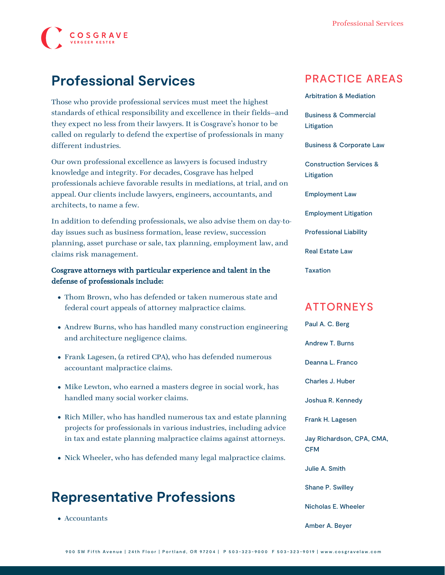

# **Professional Services**

Those who provide professional services must meet the highest standards of ethical responsibility and excellence in their fields—and they expect no less from their lawyers. It is Cosgrave's honor to be called on regularly to defend the expertise of professionals in many different industries.

Our own professional excellence as lawyers is focused industry knowledge and integrity. For decades, Cosgrave has helped professionals achieve favorable results in mediations, at trial, and on appeal. Our clients include lawyers, engineers, accountants, and architects, to name a few.

In addition to defending professionals, we also advise them on day-today issues such as business formation, lease review, succession planning, asset purchase or sale, tax planning, employment law, and claims risk management.

#### Cosgrave attorneys with particular experience and talent in the defense of professionals include:

- [Thom Brown,](https://www.cosgravelaw.com/person/thomas-w-brown/) who has defended or taken numerous state and federal court appeals of attorney malpractice claims.
- [Andrew Burns](https://www.cosgravelaw.com/person/andrew-t-burns/), who has handled many construction engineering and architecture negligence claims.
- [Frank Lagesen,](https://www.cosgravelaw.com/person/frank-h-lagesen/) (a retired CPA), who has defended numerous accountant malpractice claims.
- [Mike Lewton,](https://www.cosgravelaw.com/person/michael-c-lewton/) who earned a masters degree in social work, has handled many social worker claims.
- [Rich Miller](https://www.cosgravelaw.com/person/richard-w-miller/), who has handled numerous tax and estate planning projects for professionals in various industries, including advice in tax and estate planning malpractice claims against attorneys.
- [Nick Wheeler,](https://www.cosgravelaw.com/person/nicholas-e-wheeler/) who has defended many legal malpractice claims.

## **Representative Professions**

Accountants

#### PRACTICE AREAS

[Arbitration & Mediation](https://www.cosgravelaw.com/arbitration-mediation/)

[Business & Commercial](https://www.cosgravelaw.com/business-commercial-litigation/) [Litigation](https://www.cosgravelaw.com/business-commercial-litigation/)

[Business & Corporate Law](https://www.cosgravelaw.com/business-representation-transactions/)

[Construction Services &](https://www.cosgravelaw.com/construction-services-litigation/) [Litigation](https://www.cosgravelaw.com/construction-services-litigation/)

[Employment Law](https://www.cosgravelaw.com/employee-relations-hr-advice-counsel/)

[Employment Litigation](https://www.cosgravelaw.com/employment-litigation/)

[Professional Liability](https://www.cosgravelaw.com/professional-liability/)

[Real Estate Law](https://www.cosgravelaw.com/real-estate-law/)

[Taxation](https://www.cosgravelaw.com/taxation/)

#### ATTORNEYS

[Paul A. C. Berg](https://www.cosgravelaw.com/paul-berg-insurance-coverage/) [Andrew T. Burns](https://www.cosgravelaw.com/andrew-burns-construction-services-attorney/) [Deanna L. Franco](https://www.cosgravelaw.com/deanna-l-franco-trust-estate-planning/) [Charles J. Huber](https://www.cosgravelaw.com/charles-huber-business-representation-transactions/) [Joshua R. Kennedy](https://www.cosgravelaw.com/joshua-kennedy-construction-litigation-attorney/) [Frank H. Lagesen](https://www.cosgravelaw.com/frank-lagesen-business-commerical-litigation/) [Jay Richardson, CPA, CMA,](https://www.cosgravelaw.com/tax-attorney-cpa-cma-cfm/) [CFM](https://www.cosgravelaw.com/tax-attorney-cpa-cma-cfm/) [Julie A. Smith](https://www.cosgravelaw.com/julie-smith-appellate-litigation-services/) [Shane P. Swilley](https://www.cosgravelaw.com/shane-swilley-employment-law/) [Nicholas E. Wheeler](https://www.cosgravelaw.com/nicholas-wheeler-product-liability-attorney/) [Amber A. Beyer](https://www.cosgravelaw.com/amber-a-beyer-business-litigation-attorney/)